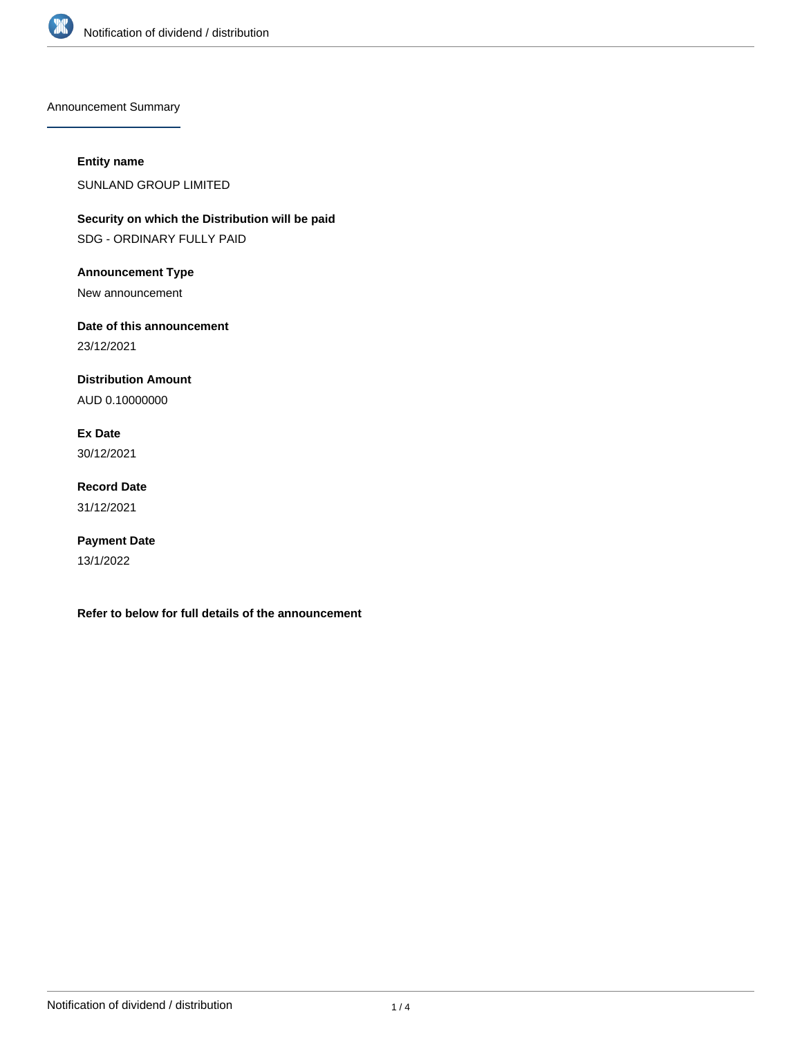

Announcement Summary

## **Entity name**

SUNLAND GROUP LIMITED

**Security on which the Distribution will be paid** SDG - ORDINARY FULLY PAID

**Announcement Type**

New announcement

**Date of this announcement**

23/12/2021

**Distribution Amount**

AUD 0.10000000

**Ex Date** 30/12/2021

**Record Date** 31/12/2021

**Payment Date** 13/1/2022

**Refer to below for full details of the announcement**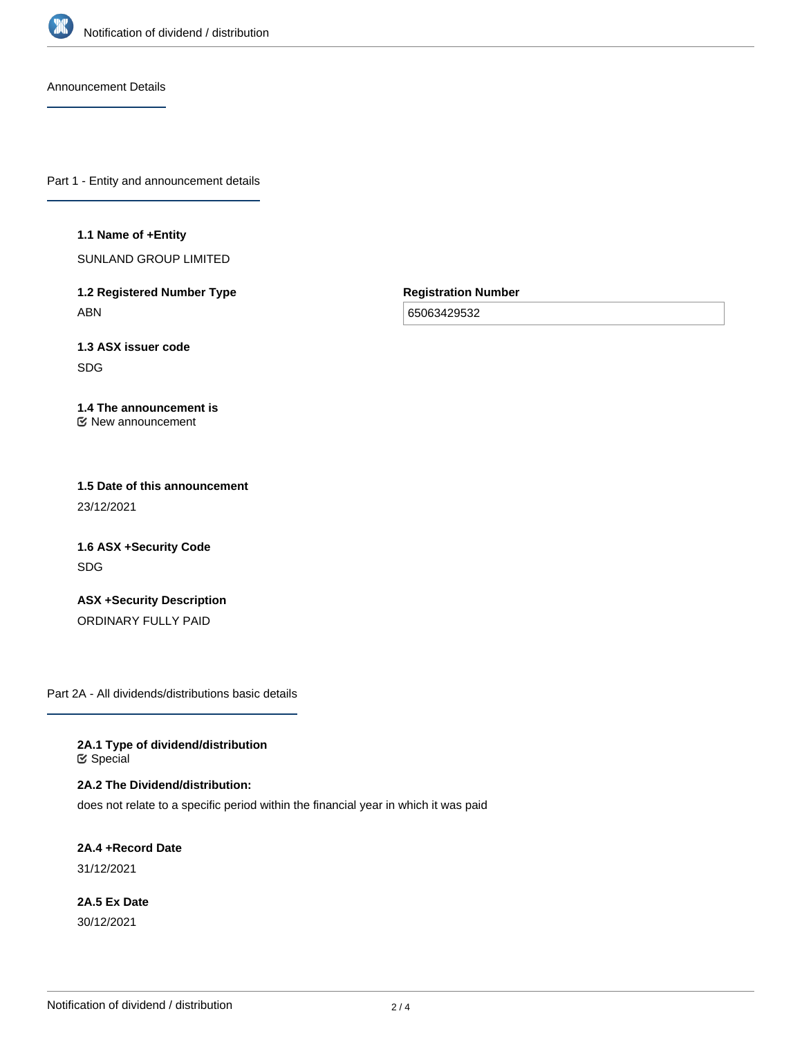

Announcement Details

Part 1 - Entity and announcement details

## **1.1 Name of +Entity**

SUNLAND GROUP LIMITED

**1.2 Registered Number Type** ABN

**Registration Number**

65063429532

**1.3 ASX issuer code** SDG

## **1.4 The announcement is** New announcement

**1.5 Date of this announcement** 23/12/2021

**1.6 ASX +Security Code** SDG

**ASX +Security Description** ORDINARY FULLY PAID

Part 2A - All dividends/distributions basic details

**2A.1 Type of dividend/distribution &** Special

**2A.2 The Dividend/distribution:**

does not relate to a specific period within the financial year in which it was paid

**2A.4 +Record Date** 31/12/2021

**2A.5 Ex Date** 30/12/2021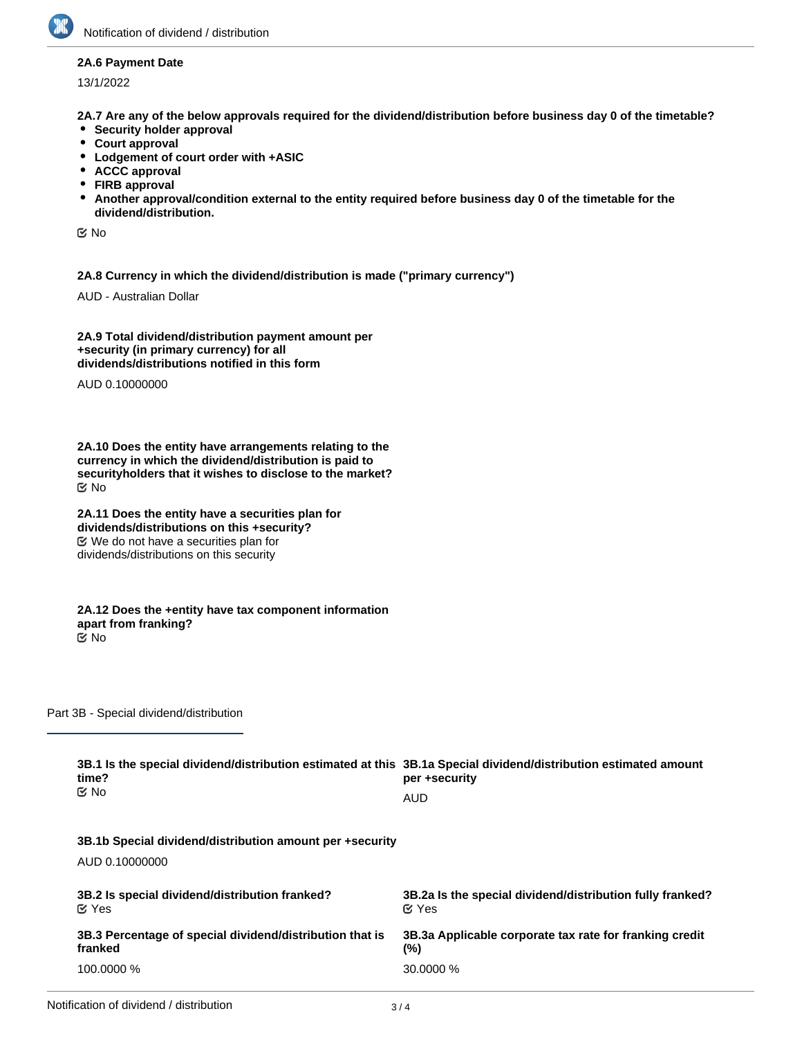

## **2A.6 Payment Date**

13/1/2022

**2A.7 Are any of the below approvals required for the dividend/distribution before business day 0 of the timetable?**

- **•** Security holder approval
- **Court approval**
- **Lodgement of court order with +ASIC**
- **ACCC approval**
- **FIRB approval**
- **Another approval/condition external to the entity required before business day 0 of the timetable for the**  $\bullet$ **dividend/distribution.**

No

**2A.8 Currency in which the dividend/distribution is made ("primary currency")**

AUD - Australian Dollar

**2A.9 Total dividend/distribution payment amount per +security (in primary currency) for all dividends/distributions notified in this form**

AUD 0.10000000

**2A.10 Does the entity have arrangements relating to the currency in which the dividend/distribution is paid to securityholders that it wishes to disclose to the market?** No

**2A.11 Does the entity have a securities plan for dividends/distributions on this +security?** We do not have a securities plan for dividends/distributions on this security

**2A.12 Does the +entity have tax component information apart from franking?** No

Part 3B - Special dividend/distribution

| 3B.1 Is the special dividend/distribution estimated at this 3B.1a Special dividend/distribution estimated amount<br>time?<br>$\propto$ No | per +security<br><b>AUD</b>                               |
|-------------------------------------------------------------------------------------------------------------------------------------------|-----------------------------------------------------------|
| 3B.1b Special dividend/distribution amount per +security<br>AUD 0.10000000                                                                |                                                           |
| 3B.2 Is special dividend/distribution franked?                                                                                            | 3B.2a Is the special dividend/distribution fully franked? |
| $\alpha$ Yes                                                                                                                              | $\alpha$ Yes                                              |
| 3B.3 Percentage of special dividend/distribution that is                                                                                  | 3B.3a Applicable corporate tax rate for franking credit   |
| franked                                                                                                                                   | (%)                                                       |
| 100.0000 %                                                                                                                                | 30,0000 %                                                 |